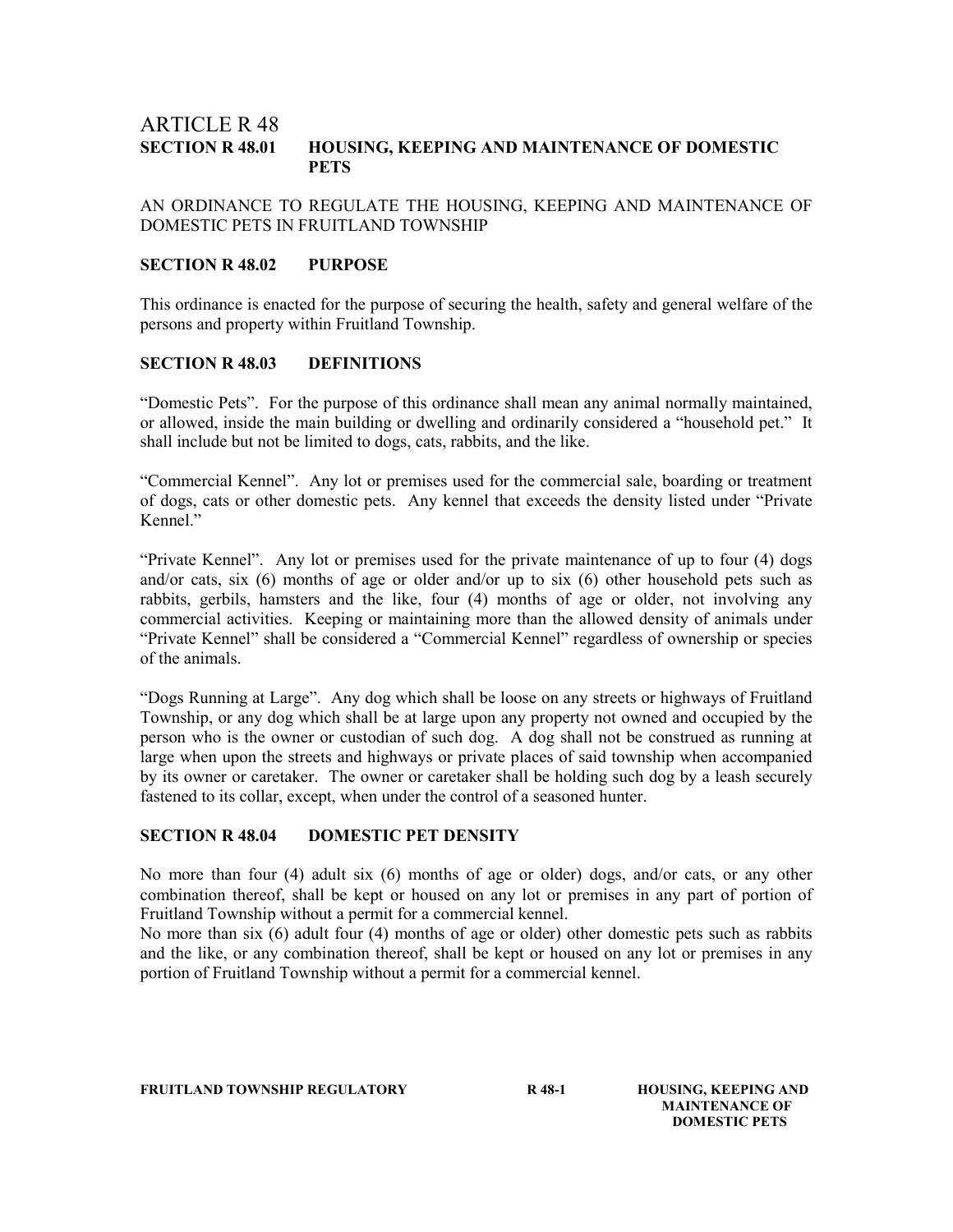### ARTICLE R 48<br>section r 48.01 HOUSING, KEEPING AND MAINTENANCE OF DOMESTIC **PETS**

AN ORDINANCE TO REGULATE THE HOUSING, KEEPING AND MAINTENANCE OF DOMESTIC PETS IN FRUITLAND TOWNSHIP

### SECTION R 48.02 PURPOSE

This ordinance is enacted for the purpose of securing the health, safety and general welfare of the persons and property within Fruitland Township.

### SECTION R 48.03 DEFINITIONS

"Domestic Pets". For the purpose of this ordinance shall mean any animal normally maintained, or allowed, inside the main building or dwelling and ordinarily considered a "household pet." It shall include but not be limited to dogs, cats, rabbits, and the like.

"Commercial Kennel". Any lot or premises used for the commercial sale, boarding or treatment of dogs, cats or other domestic pets. Any kennel that exceeds the density listed under "Private Kennel<sup>"</sup>

"Private Kennel". Any lot or premises used for the private maintenance of up to four (4) dogs and/or cats, six (6) months of age or older and/or up to six (6) other household pets such as rabbits, gerbils, hamsters and the like, four (4) months of age or older, not involving any commercial activities. Keeping or maintaining more than the allowed density of animals under "Private Kennel" shall be considered a "Commercial Kennel" regardless of ownership or species of the animals.

"Dogs Running at Large". Any dog which shall be loose on any streets or highways of Fruitland Township, or any dog which shall be at large upon any property not owned and occupied by the person who is the owner or custodian of such dog. A dog shall not be construed as running at large when upon the streets and highways or private places of said township when accompanied by its owner or caretaker. The owner or caretaker shall be holding such dog by a leash securely fastened to its collar, except, when under the control of a seasoned hunter.

# SECTION R 48.04 DOMESTIC PET DENSITY

No more than four (4) adult six (6) months of age or older) dogs, and/or cats, or any other combination thereof, shall be kept or housed on any lot or premises in any part of portion of Fruitland Township without a permit for a commercial kennel.

No more than six (6) adult four (4) months of age or older) other domestic pets such as rabbits and the like, or any combination thereof, shall be kept or housed on any lot or premises in any portion of Fruitland Township without a permit for a commercial kennel.

FRUITLAND TOWNSHIP REGULATORY R 48-1 HOUSING, KEEPING AND

 MAINTENANCE OF DOMESTIC PETS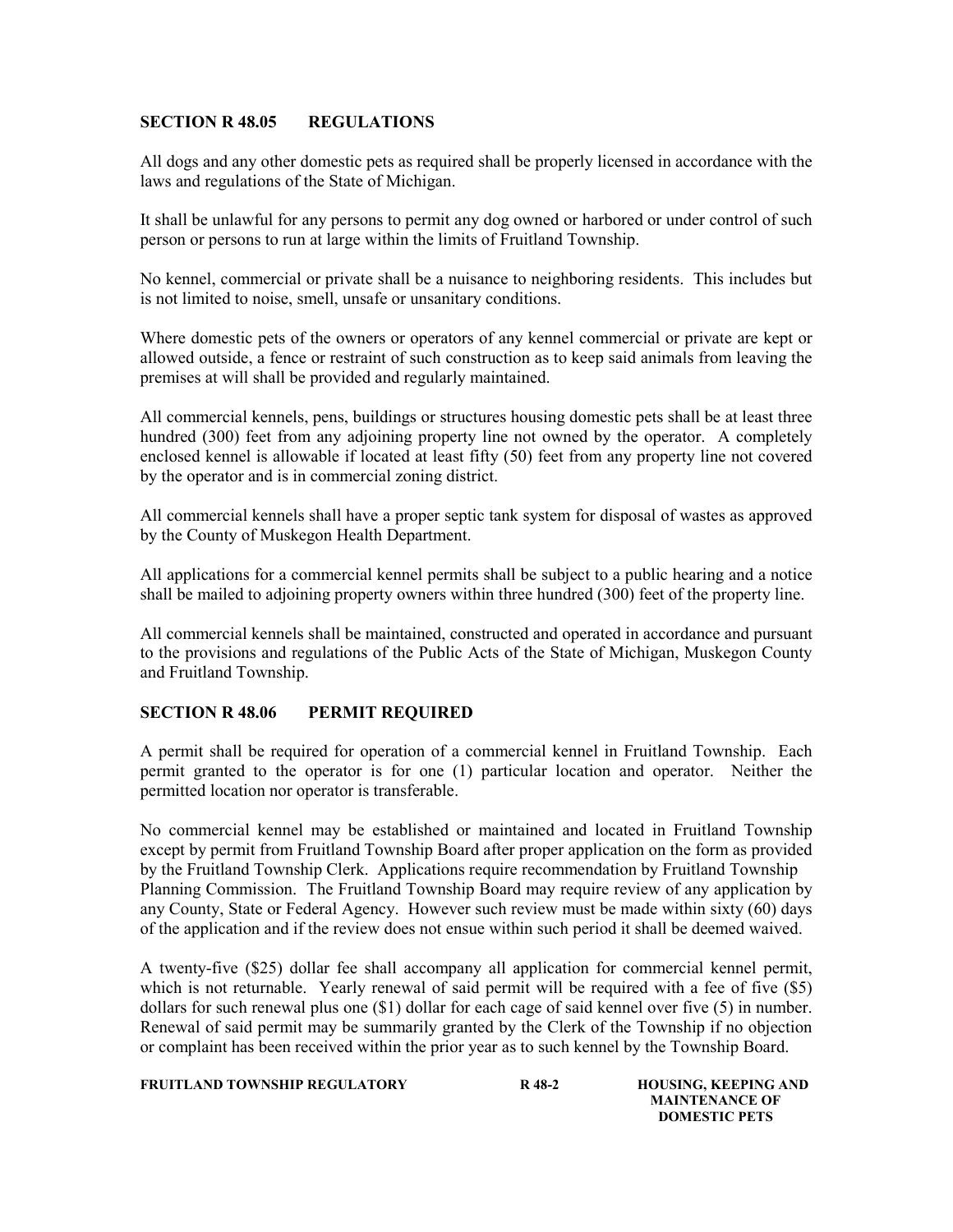### SECTION R 48.05 REGULATIONS

All dogs and any other domestic pets as required shall be properly licensed in accordance with the laws and regulations of the State of Michigan.

It shall be unlawful for any persons to permit any dog owned or harbored or under control of such person or persons to run at large within the limits of Fruitland Township.

No kennel, commercial or private shall be a nuisance to neighboring residents. This includes but is not limited to noise, smell, unsafe or unsanitary conditions.

Where domestic pets of the owners or operators of any kennel commercial or private are kept or allowed outside, a fence or restraint of such construction as to keep said animals from leaving the premises at will shall be provided and regularly maintained.

All commercial kennels, pens, buildings or structures housing domestic pets shall be at least three hundred (300) feet from any adjoining property line not owned by the operator. A completely enclosed kennel is allowable if located at least fifty (50) feet from any property line not covered by the operator and is in commercial zoning district.

All commercial kennels shall have a proper septic tank system for disposal of wastes as approved by the County of Muskegon Health Department.

All applications for a commercial kennel permits shall be subject to a public hearing and a notice shall be mailed to adjoining property owners within three hundred (300) feet of the property line.

All commercial kennels shall be maintained, constructed and operated in accordance and pursuant to the provisions and regulations of the Public Acts of the State of Michigan, Muskegon County and Fruitland Township.

# SECTION R 48.06 PERMIT REQUIRED

A permit shall be required for operation of a commercial kennel in Fruitland Township. Each permit granted to the operator is for one (1) particular location and operator. Neither the permitted location nor operator is transferable.

No commercial kennel may be established or maintained and located in Fruitland Township except by permit from Fruitland Township Board after proper application on the form as provided by the Fruitland Township Clerk. Applications require recommendation by Fruitland Township Planning Commission. The Fruitland Township Board may require review of any application by any County, State or Federal Agency. However such review must be made within sixty (60) days of the application and if the review does not ensue within such period it shall be deemed waived.

A twenty-five (\$25) dollar fee shall accompany all application for commercial kennel permit, which is not returnable. Yearly renewal of said permit will be required with a fee of five (\$5) dollars for such renewal plus one (\$1) dollar for each cage of said kennel over five (5) in number. Renewal of said permit may be summarily granted by the Clerk of the Township if no objection or complaint has been received within the prior year as to such kennel by the Township Board.

FRUITLAND TOWNSHIP REGULATORY R 48-2 HOUSING, KEEPING AND

 MAINTENANCE OF DOMESTIC PETS